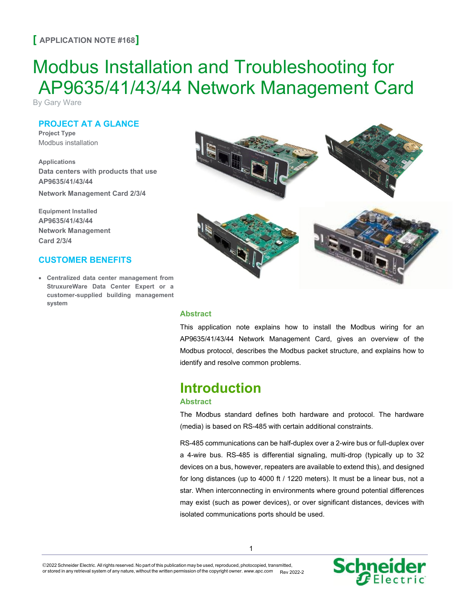### **[ APPLICATION NOTE #168]**

# Modbus Installation and Troubleshooting for AP9635/41/43/44 Network Management Card

By Gary Ware

### **PROJECT AT A GLANCE**

**Project Type** Modbus installation

**Applications Data centers with products that use AP9635/41/43/44**

**Network Management Card 2/3/4**

**Equipment Installed AP9635/41/43/44 Network Management Card 2/3/4**

### **CUSTOMER BENEFITS**

• **Centralized data center management from StruxureWare Data Center Expert or a customer-supplied building management system**



#### **Abstract**

This application note explains how to install the Modbus wiring for an AP9635/41/43/44 Network Management Card, gives an overview of the Modbus protocol, describes the Modbus packet structure, and explains how to identify and resolve common problems.

## **Introduction**

### **Abstract**

The Modbus standard defines both hardware and protocol. The hardware (media) is based on RS-485 with certain additional constraints.

RS-485 communications can be half-duplex over a 2-wire bus or full-duplex over a 4-wire bus. RS-485 is differential signaling, multi-drop (typically up to 32 devices on a bus, however, repeaters are available to extend this), and designed for long distances (up to 4000 ft / 1220 meters). It must be a linear bus, not a star. When interconnecting in environments where ground potential differences may exist (such as power devices), or over significant distances, devices with isolated communications ports should be used.

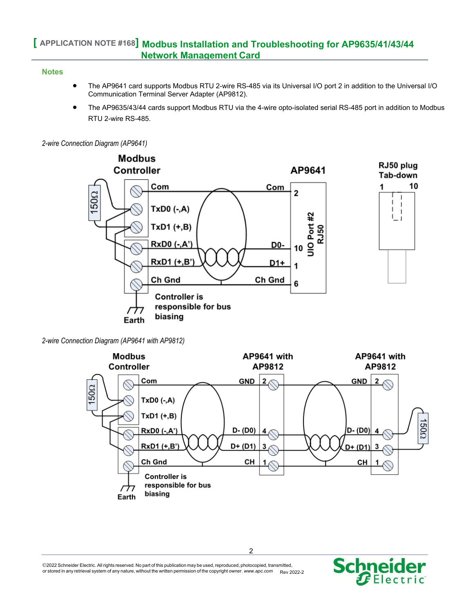### **Notes**

- The AP9641 card supports Modbus RTU 2-wire RS-485 via its Universal I/O port 2 in addition to the Universal I/O Communication Terminal Server Adapter (AP9812).
- The AP9635/43/44 cards support Modbus RTU via the 4-wire opto-isolated serial RS-485 port in addition to Modbus RTU 2-wire RS-485.

*2-wire Connection Diagram (AP9641)*



*2-wire Connection Diagram (AP9641 with AP9812)*



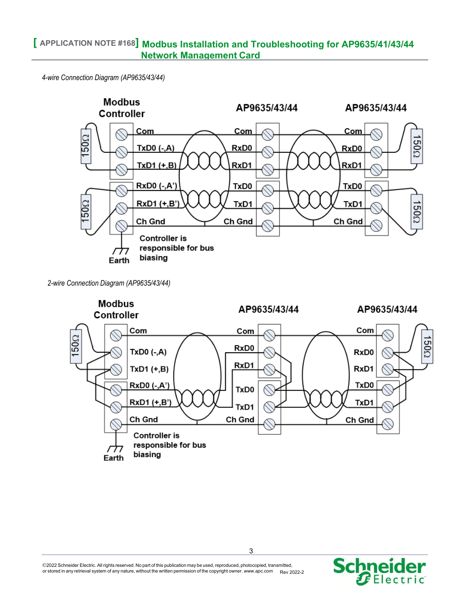*4-wire Connection Diagram (AP9635/43/44)*



*2-wire Connection Diagram (AP9635/43/44)*



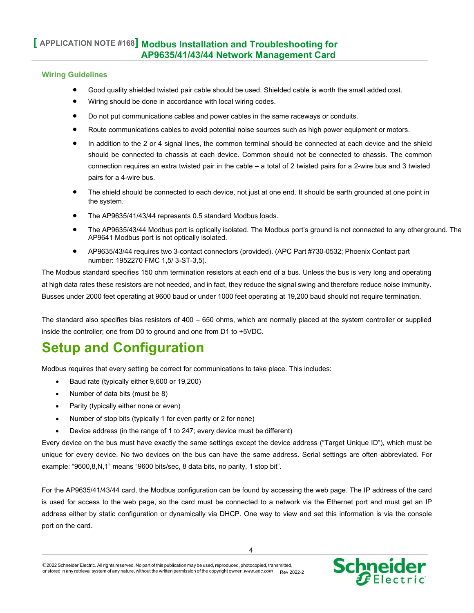### **Wiring Guidelines**

- Good quality shielded twisted pair cable should be used. Shielded cable is worth the small added cost.
- Wiring should be done in accordance with local wiring codes.
- Do not put communications cables and power cables in the same raceways or conduits.
- Route communications cables to avoid potential noise sources such as high power equipment or motors.
- In addition to the 2 or 4 signal lines, the common terminal should be connected at each device and the shield should be connected to chassis at each device. Common should not be connected to chassis. The common connection requires an extra twisted pair in the cable – a total of 2 twisted pairs for a 2-wire bus and 3 twisted pairs for a 4-wire bus.
- The shield should be connected to each device, not just at one end. It should be earth grounded at one point in the system.
- The AP9635/41/43/44 represents 0.5 standard Modbus loads.
- The AP9635/43/44 Modbus port is optically isolated. The Modbus port's ground is not connected to any otherground. The AP9641 Modbus port is not optically isolated.
- AP9635/43/44 requires two 3-contact connectors (provided). (APC Part #730-0532; Phoenix Contact part number: 1952270 FMC 1,5/ 3-ST-3,5).

The Modbus standard specifies 150 ohm termination resistors at each end of a bus. Unless the bus is very long and operating at high data rates these resistors are not needed, and in fact, they reduce the signal swing and therefore reduce noise immunity. Busses under 2000 feet operating at 9600 baud or under 1000 feet operating at 19,200 baud should not require termination.

The standard also specifies bias resistors of  $400 - 650$  ohms, which are normally placed at the system controller or supplied inside the controller; one from D0 to ground and one from D1 to +5VDC.

## **Setup and Configuration**

Modbus requires that every setting be correct for communications to take place. This includes:

- Baud rate (typically either 9,600 or 19,200)
- Number of data bits (must be 8)
- Parity (typically either none or even)
- Number of stop bits (typically 1 for even parity or 2 for none)
- Device address (in the range of 1 to 247; every device must be different)

Every device on the bus must have exactly the same settings except the device address ("Target Unique ID"), which must be unique for every device. No two devices on the bus can have the same address. Serial settings are often abbreviated. For example: "9600,8,N,1" means "9600 bits/sec, 8 data bits, no parity, 1 stop bit".

For the AP9635/41/43/44 card, the Modbus configuration can be found by accessing the web page. The IP address of the card is used for access to the web page, so the card must be connected to a network via the Ethernet port and must get an IP address either by static configuration or dynamically via DHCP. One way to view and set this information is via the console port on the card.

<sup>2022</sup> Schneider Electric. All rights reserved. No part of this publication may be used, reproduced, photocopied, transmitted, or stored in any retrieval system of any nature, without the written permission of the copyright owner. *[www.apc.com](http://www.apc.com/)* Rev 2022-2

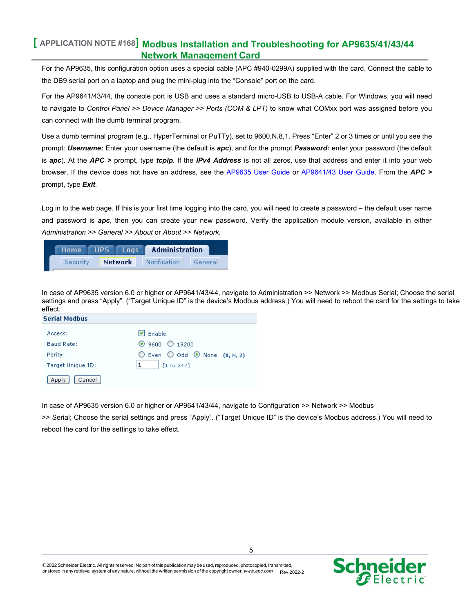For the AP9635, this configuration option uses a special cable (APC #940-0299A) supplied with the card. Connect the cable to the DB9 serial port on a laptop and plug the mini-plug into the "Console" port on the card.

For the AP9641/43/44, the console port is USB and uses a standard micro-USB to USB-A cable. For Windows, you will need to navigate to *Control Panel >> Device Manager >> Ports (COM & LPT)* to know what COMxx port was assigned before you can connect with the dumb terminal program.

Use a dumb terminal program (e.g., HyperTerminal or PuTTy), set to 9600,N,8,1. Press "Enter" 2 or 3 times or until you see the prompt: *Username:* Enter your username (the default is *apc*), and for the prompt *Password:* enter your password (the default is *apc*). At the *APC >* prompt, type *tcpip*. If the *IPv4 Address* is not all zeros, use that address and enter it into your web browser. If the device does not have an address, see the [AP9635](https://www.apc.com/us/en/download/document/SPD_LFLG-ACVDHV_EN/) User Guide or [AP9641/43](https://www.apc.com/us/en/download/document/SPD_CCON-AYCEFJ_EN) User Guide. From the *APC >* prompt, type *Exit*.

Log in to the web page. If this is your first time logging into the card, you will need to create a password – the default user name and password is *apc*, then you can create your new password. Verify the application module version, available in either *Administration >> General >> About* or *About >> Network*.

| Home     | <b>UPS</b> | Loas           | <b>Administration</b> |         |
|----------|------------|----------------|-----------------------|---------|
| Security |            | <b>Network</b> | <b>Notification</b>   | General |

In case of AP9635 version 6.0 or higher or AP9641/43/44, navigate to Administration >> Network >> Modbus Serial; Choose the serial settings and press "Apply". ("Target Unique ID" is the device's Modbus address.) You will need to reboot the card for the settings to take effect.

| <b>Serial Modbus</b> |                                                          |
|----------------------|----------------------------------------------------------|
| Access:              | $ v $ Enable                                             |
| Baud Rate:           | $\odot$ 9600 $\odot$ 19200                               |
| Parity:              | $\bigcirc$ Even $\bigcirc$ Odd $\bigcirc$ None (8, N, 2) |
| Target Unique ID:    | [1 to 247]                                               |
| Cancel<br>Apply      |                                                          |

In case of AP9635 version 6.0 or higher or AP9641/43/44, navigate to Configuration >> Network >> Modbus

>> Serial; Choose the serial settings and press "Apply". ("Target Unique ID" is the device's Modbus address.) You will need to reboot the card for the settings to take effect.

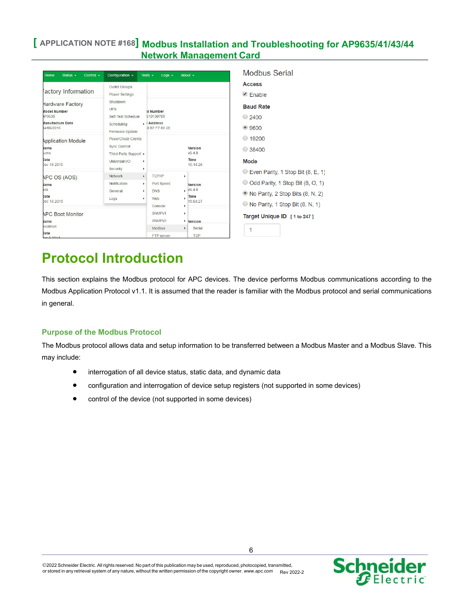| Home<br>Status $\sim$<br>Control $\sim$                                                            | Configuration -                                                                                           | Tests $\sim$<br>$Log \rightarrow$                                          | About $\sim$                                              | <b>Modbus Serial</b>                                                                                                                                             |
|----------------------------------------------------------------------------------------------------|-----------------------------------------------------------------------------------------------------------|----------------------------------------------------------------------------|-----------------------------------------------------------|------------------------------------------------------------------------------------------------------------------------------------------------------------------|
| actory Information                                                                                 | Outlet Groups<br><b>Power Settings</b>                                                                    |                                                                            |                                                           | <b>Access</b><br>$\triangle$ Enable                                                                                                                              |
| Hardware Factory<br><b>Model Number</b><br><b>P9635</b><br>Manufacture Date<br>14/05/2016          | Shutdown<br><b>UPS</b><br>Self-Test Schedule<br>Scheduling<br><b>Firmware Update</b>                      | al Number<br>610130709<br>.: Address<br>0 B7 F7 83 2E                      |                                                           | <b>Baud Rate</b><br>$\bigcirc$ 2400<br>$\bullet$ 9600                                                                                                            |
| <b>Application Module</b><br><b>Name</b><br><b>kumx</b><br>Date<br>Dec 18 2015                     | PowerChute Clients<br><b>Sync Control</b><br>Third Party Support ▶<br>Universal I/O<br>٠<br>Security<br>٠ |                                                                            | Version<br>V6.4.0<br>Time<br>15:14:26                     | 19200<br>0<br>$\circ$ 38400<br>Mode                                                                                                                              |
| APC OS (AOS)<br><b>Name</b><br><b>tos</b><br><b>Date</b><br>Dec 18 2015<br><b>APC Boot Monitor</b> | Network<br>$\blacktriangleright$<br>Notification<br>٠<br>General<br>٠<br>Logs<br>٠                        | TCP/IP<br>Port Speed<br><b>DNS</b><br>Web<br>Console<br>SNMP <sub>v1</sub> | ٠<br>Version<br>V6.4.0<br>Time<br>٠<br>15:04:27<br>٠<br>٠ | $\circ$ Even Parity, 1 Stop Bit (8, E, 1)<br>O Odd Parity, 1 Stop Bit (8, O, 1)<br>• No Parity, 2 Stop Bits (8, N, 2)<br>$\circ$ No Parity, 1 Stop Bit (8, N, 1) |
| <b>Name</b>                                                                                        |                                                                                                           | SNMP <sub>v3</sub>                                                         | ٠<br>Version                                              | Target Unique ID [1 to 247]                                                                                                                                      |
| pootmon<br>Date                                                                                    |                                                                                                           | Modbus<br>FTP server                                                       | ٠<br>Serial<br><b>TCP</b>                                 | 1                                                                                                                                                                |

## **Protocol Introduction**

This section explains the Modbus protocol for APC devices. The device performs Modbus communications according to the Modbus Application Protocol v1.1. It is assumed that the reader is familiar with the Modbus protocol and serial communications in general.

### **Purpose of the Modbus Protocol**

The Modbus protocol allows data and setup information to be transferred between a Modbus Master and a Modbus Slave. This may include:

- interrogation of all device status, static data, and dynamic data
- configuration and interrogation of device setup registers (not supported in some devices)
- control of the device (not supported in some devices)

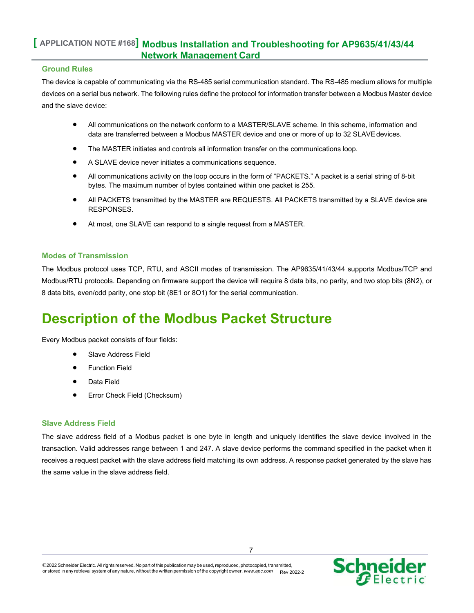#### **Ground Rules**

The device is capable of communicating via the RS-485 serial communication standard. The RS-485 medium allows for multiple devices on a serial bus network. The following rules define the protocol for information transfer between a Modbus Master device and the slave device:

- All communications on the network conform to a MASTER/SLAVE scheme. In this scheme, information and data are transferred between a Modbus MASTER device and one or more of up to 32 SLAVEdevices.
- The MASTER initiates and controls all information transfer on the communications loop.
- A SLAVE device never initiates a communications sequence.
- All communications activity on the loop occurs in the form of "PACKETS." A packet is a serial string of 8-bit bytes. The maximum number of bytes contained within one packet is 255.
- All PACKETS transmitted by the MASTER are REQUESTS. All PACKETS transmitted by a SLAVE device are RESPONSES.
- At most, one SLAVE can respond to a single request from a MASTER.

### **Modes of Transmission**

The Modbus protocol uses TCP, RTU, and ASCII modes of transmission. The AP9635/41/43/44 supports Modbus/TCP and Modbus/RTU protocols. Depending on firmware support the device will require 8 data bits, no parity, and two stop bits (8N2), or 8 data bits, even/odd parity, one stop bit (8E1 or 8O1) for the serial communication.

## **Description of the Modbus Packet Structure**

Every Modbus packet consists of four fields:

- Slave Address Field
- Function Field
- Data Field
- Error Check Field (Checksum)

### **Slave Address Field**

The slave address field of a Modbus packet is one byte in length and uniquely identifies the slave device involved in the transaction. Valid addresses range between 1 and 247. A slave device performs the command specified in the packet when it receives a request packet with the slave address field matching its own address. A response packet generated by the slave has the same value in the slave address field.

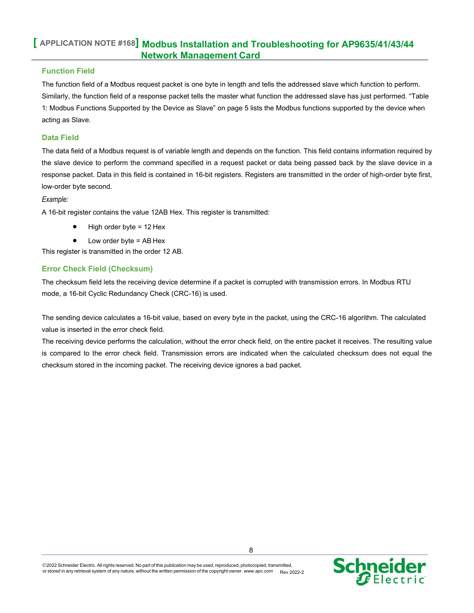### **Function Field**

The function field of a Modbus request packet is one byte in length and tells the addressed slave which function to perform. Similarly, the function field of a response packet tells the master what function the addressed slave has just performed. "Table 1: Modbus Functions Supported by the Device as Slave" on page 5 lists the Modbus functions supported by the device when acting as Slave.

### **Data Field**

The data field of a Modbus request is of variable length and depends on the function. This field contains information required by the slave device to perform the command specified in a request packet or data being passed back by the slave device in a response packet. Data in this field is contained in 16-bit registers. Registers are transmitted in the order of high-order byte first, low-order byte second.

#### *Example:*

A 16-bit register contains the value 12AB Hex. This register is transmitted:

- High order byte = 12 Hex
- Low order byte = AB Hex

This register is transmitted in the order 12 AB.

### **Error Check Field (Checksum)**

The checksum field lets the receiving device determine if a packet is corrupted with transmission errors. In Modbus RTU mode, a 16-bit Cyclic Redundancy Check (CRC-16) is used.

The sending device calculates a 16-bit value, based on every byte in the packet, using the CRC-16 algorithm. The calculated value is inserted in the error check field.

The receiving device performs the calculation, without the error check field, on the entire packet it receives. The resulting value is compared to the error check field. Transmission errors are indicated when the calculated checksum does not equal the checksum stored in the incoming packet. The receiving device ignores a bad packet.

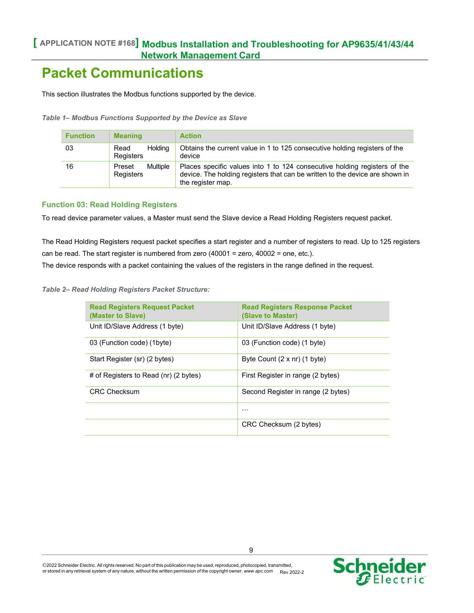## **Packet Communications**

This section illustrates the Modbus functions supported by the device.

*Table 1– Modbus Functions Supported by the Device as Slave*

| <b>Function</b> | <b>Meaning</b>                         | <b>Action</b>                                                                                                                                                                  |
|-----------------|----------------------------------------|--------------------------------------------------------------------------------------------------------------------------------------------------------------------------------|
| 03              | <b>Holding</b><br>Read<br>Registers    | Obtains the current value in 1 to 125 consecutive holding registers of the<br>device                                                                                           |
| 16              | <b>Multiple</b><br>Preset<br>Registers | Places specific values into 1 to 124 consecutive holding registers of the<br>device. The holding registers that can be written to the device are shown in<br>the register map. |

### **Function 03: Read Holding Registers**

To read device parameter values, a Master must send the Slave device a Read Holding Registers request packet.

The Read Holding Registers request packet specifies a start register and a number of registers to read. Up to 125 registers can be read. The start register is numbered from zero (40001 = zero, 40002 = one, etc.).

The device responds with a packet containing the values of the registers in the range defined in the request.

*Table 2– Read Holding Registers Packet Structure:*

| <b>Read Registers Request Packet</b><br>(Master to Slave) | <b>Read Registers Response Packet</b><br>(Slave to Master) |
|-----------------------------------------------------------|------------------------------------------------------------|
| Unit ID/Slave Address (1 byte)                            | Unit ID/Slave Address (1 byte)                             |
| 03 (Function code) (1byte)                                | 03 (Function code) (1 byte)                                |
| Start Register (sr) (2 bytes)                             | Byte Count $(2 \times nr)$ (1 byte)                        |
| # of Registers to Read (nr) (2 bytes)                     | First Register in range (2 bytes)                          |
| <b>CRC Checksum</b>                                       | Second Register in range (2 bytes)                         |
|                                                           | .                                                          |
|                                                           | CRC Checksum (2 bytes)                                     |

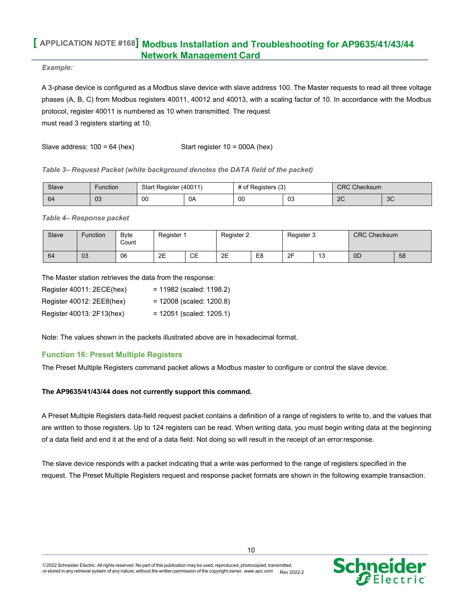#### *Example:*

A 3-phase device is configured as a Modbus slave device with slave address 100. The Master requests to read all three voltage phases (A, B, C) from Modbus registers 40011, 40012 and 40013, with a scaling factor of 10. In accordance with the Modbus protocol, register 40011 is numbered as 10 when transmitted. The request must read 3 registers starting at 10.

Slave address:  $100 = 64$  (hex) Start register  $10 = 000A$  (hex)

#### *Table 3– Request Packet (white background denotes the DATA field of the packet)*

| Slave | Function | Start Register (40011) |    | of Registers (3) |              | <b>CRC</b><br>Checksum |    |  |
|-------|----------|------------------------|----|------------------|--------------|------------------------|----|--|
| -64   | 03       | 00                     | 0A | 00               | $\sim$<br>υJ | $\Omega$<br>29         | 3C |  |

*Table 4– Response packet*

| Slave | Function | Byte<br>Count | Register 1 |    | Register 2 |                | Register 3 |                  | <b>CRC Checksum</b> |    |
|-------|----------|---------------|------------|----|------------|----------------|------------|------------------|---------------------|----|
| 64    | 03       | 06            | 2E         | СE | 2E         | E <sub>8</sub> | 2F         | $\sqrt{2}$<br>∪ו | 0 <sub>D</sub>      | 58 |

The Master station retrieves the data from the response:

| Register 40011: 2ECE(hex) | $= 11982$ (scaled: 1198.2) |
|---------------------------|----------------------------|
| Register 40012: 2EE8(hex) | $= 12008$ (scaled: 1200.8) |
| Register 40013: 2F13(hex) | $= 12051$ (scaled: 1205.1) |

Note: The values shown in the packets illustrated above are in hexadecimal format.

### **Function 16: Preset Multiple Registers**

The Preset Multiple Registers command packet allows a Modbus master to configure or control the slave device.

### **The AP9635/41/43/44 does not currently support this command.**

A Preset Multiple Registers data-field request packet contains a definition of a range of registers to write to, and the values that are written to those registers. Up to 124 registers can be read. When writing data, you must begin writing data at the beginning of a data field and end it at the end of a data field. Not doing so will result in the receipt of an error response.

The slave device responds with a packet indicating that a write was performed to the range of registers specified in the request. The Preset Multiple Registers request and response packet formats are shown in the following example transaction.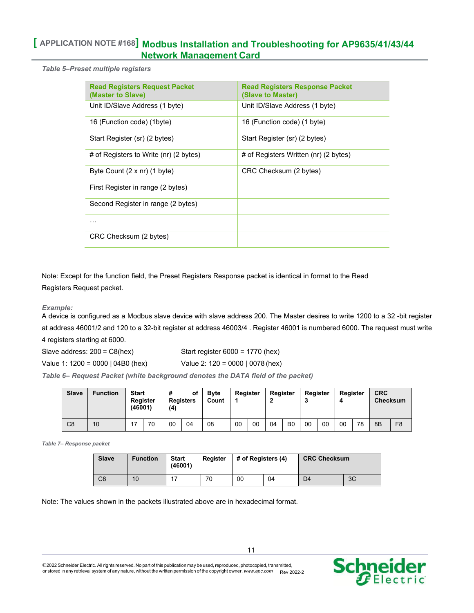*Table 5–Preset multiple registers*

| <b>Read Registers Request Packet</b><br>(Master to Slave) | <b>Read Registers Response Packet</b><br>(Slave to Master) |
|-----------------------------------------------------------|------------------------------------------------------------|
| Unit ID/Slave Address (1 byte)                            | Unit ID/Slave Address (1 byte)                             |
| 16 (Function code) (1byte)                                | 16 (Function code) (1 byte)                                |
| Start Register (sr) (2 bytes)                             | Start Register (sr) (2 bytes)                              |
| # of Registers to Write (nr) (2 bytes)                    | # of Registers Written (nr) (2 bytes)                      |
| Byte Count $(2 \times nr)$ (1 byte)                       | CRC Checksum (2 bytes)                                     |
| First Register in range (2 bytes)                         |                                                            |
| Second Register in range (2 bytes)                        |                                                            |
| .                                                         |                                                            |
| CRC Checksum (2 bytes)                                    |                                                            |

Note: Except for the function field, the Preset Registers Response packet is identical in format to the Read Registers Request packet.

### *Example:*

A device is configured as a Modbus slave device with slave address 200. The Master desires to write 1200 to a 32 -bit register at address 46001/2 and 120 to a 32-bit register at address 46003/4 . Register 46001 is numbered 6000. The request must write

4 registers starting at 6000.

Slave address: 200 = C8(hex) Start register 6000 = 1770 (hex)

Value 1: 1200 = 0000 | 04B0 (hex) Value 2: 120 = 0000 | 0078 (hex)

*Table 6– Request Packet (white background denotes the DATA field of the packet)*

| Slave          | <b>Function</b> | <b>Start</b><br>(46001) | Register | #<br>(4) | οf<br><b>Registers</b> | <b>B</b> vte<br>Count |    | Register | Register |                | Register<br>v |    | Register<br>4 |    | <b>CRC</b><br><b>Checksum</b> |                |
|----------------|-----------------|-------------------------|----------|----------|------------------------|-----------------------|----|----------|----------|----------------|---------------|----|---------------|----|-------------------------------|----------------|
| C <sub>8</sub> | 10              |                         | 70       | 00       | 04                     | 08                    | 00 | 00       | 04       | B <sub>0</sub> | 00            | 00 | 00            | 78 | 8B                            | F <sub>8</sub> |

*Table 7– Response packet*

| <b>Slave</b> | <b>Function</b> | <b>Start</b><br>(46001) | Register | # of Registers (4) |    | <b>CRC Checksum</b> |    |  |
|--------------|-----------------|-------------------------|----------|--------------------|----|---------------------|----|--|
| C8           | 10              |                         | 70       | 00                 | 04 | D4                  | 3C |  |

Note: The values shown in the packets illustrated above are in hexadecimal format.



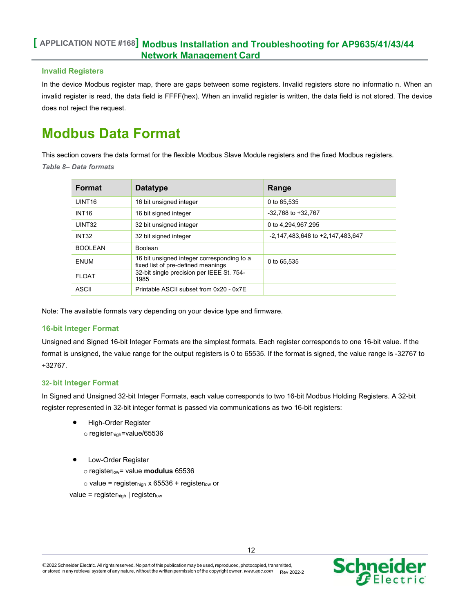### **Invalid Registers**

In the device Modbus register map, there are gaps between some registers. Invalid registers store no informatio n. When an invalid register is read, the data field is FFFF(hex). When an invalid register is written, the data field is not stored. The device does not reject the request.

## **Modbus Data Format**

This section covers the data format for the flexible Modbus Slave Module registers and the fixed Modbus registers. *Table 8– Data formats*

| <b>Format</b>      | <b>Datatype</b>                                                                  | Range                            |
|--------------------|----------------------------------------------------------------------------------|----------------------------------|
| UINT <sub>16</sub> | 16 bit unsigned integer                                                          | 0 to 65.535                      |
| <b>INT16</b>       | 16 bit signed integer                                                            | -32.768 to +32.767               |
| UINT32             | 32 bit unsigned integer                                                          | 0 to 4,294,967,295               |
| <b>INT32</b>       | 32 bit signed integer                                                            | -2,147,483,648 to +2,147,483,647 |
| BOOL FAN           | <b>Boolean</b>                                                                   |                                  |
| <b>ENUM</b>        | 16 bit unsigned integer corresponding to a<br>fixed list of pre-defined meanings | 0 to 65,535                      |
| FI OAT             | 32-bit single precision per IEEE St. 754-<br>1985                                |                                  |
| ASCII              | Printable ASCII subset from 0x20 - 0x7E                                          |                                  |

Note: The available formats vary depending on your device type and firmware.

### **16-bit Integer Format**

Unsigned and Signed 16-bit Integer Formats are the simplest formats. Each register corresponds to one 16-bit value. If the format is unsigned, the value range for the output registers is 0 to 65535. If the format is signed, the value range is -32767 to +32767.

### **32- bit Integer Format**

In Signed and Unsigned 32-bit Integer Formats, each value corresponds to two 16-bit Modbus Holding Registers. A 32-bit register represented in 32-bit integer format is passed via communications as two 16-bit registers:

- High-Order Register
	- o registerhigh=value/65536
- Low-Order Register
	- o registerlow= value **modulus** 65536
	- $\circ$  value = register<sub>high</sub> x 65536 + register<sub>low</sub> or

 $value = register_{high}$  | registerlow

**Schneider**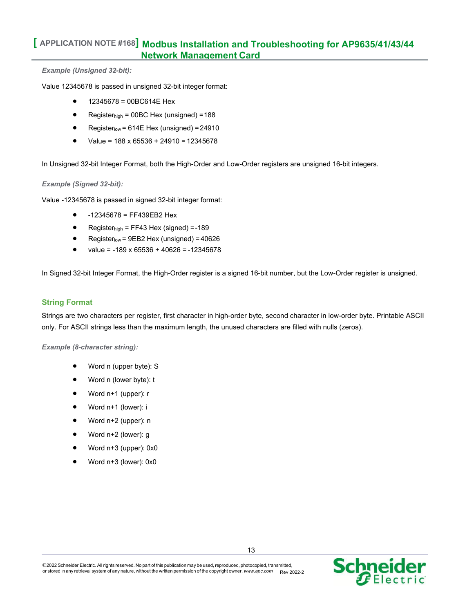#### *Example (Unsigned 32-bit):*

Value 12345678 is passed in unsigned 32-bit integer format:

- 12345678 = 00BC614E Hex
- Registerhigh = 00BC Hex (unsigned) =188
- Registerlow =  $614E$  Hex (unsigned) =  $24910$
- Value = 188 x 65536 + 24910 = 12345678

In Unsigned 32-bit Integer Format, both the High-Order and Low-Order registers are unsigned 16-bit integers.

#### *Example (Signed 32-bit):*

Value -12345678 is passed in signed 32-bit integer format:

- -12345678 = FF439EB2 Hex
- Registerhigh = FF43 Hex (signed) =-189
- Registerlow = 9EB2 Hex (unsigned) = 40626
- value =  $-189 \times 65536 + 40626 = -12345678$

In Signed 32-bit Integer Format, the High-Order register is a signed 16-bit number, but the Low-Order register is unsigned.

### **String Format**

Strings are two characters per register, first character in high-order byte, second character in low-order byte. Printable ASCII only. For ASCII strings less than the maximum length, the unused characters are filled with nulls (zeros).

*Example (8-character string):*

- Word n (upper byte): S
- Word n (lower byte): t
- Word n+1 (upper): r
- Word n+1 (lower): i
- Word n+2 (upper): n
- Word n+2 (lower): g
- Word n+3 (upper): 0x0
- Word n+3 (lower): 0x0

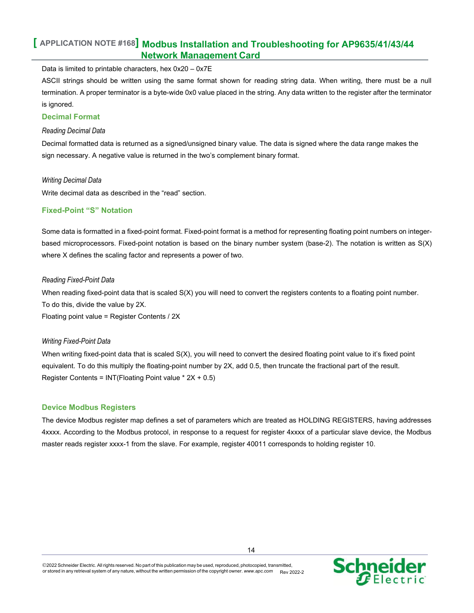Data is limited to printable characters, hex 0x20 – 0x7E

ASCII strings should be written using the same format shown for reading string data. When writing, there must be a null termination. A proper terminator is a byte-wide 0x0 value placed in the string. Any data written to the register after the terminator is ignored.

### **Decimal Format**

#### *Reading Decimal Data*

Decimal formatted data is returned as a signed/unsigned binary value. The data is signed where the data range makes the sign necessary. A negative value is returned in the two's complement binary format.

#### *Writing Decimal Data*

Write decimal data as described in the "read" section.

### **Fixed-Point "S" Notation**

Some data is formatted in a fixed-point format. Fixed-point format is a method for representing floating point numbers on integerbased microprocessors. Fixed-point notation is based on the binary number system (base-2). The notation is written as S(X) where X defines the scaling factor and represents a power of two.

#### *Reading Fixed-Point Data*

When reading fixed-point data that is scaled S(X) you will need to convert the registers contents to a floating point number. To do this, divide the value by 2X. Floating point value = Register Contents / 2X

### *Writing Fixed-Point Data*

When writing fixed-point data that is scaled S(X), you will need to convert the desired floating point value to it's fixed point equivalent. To do this multiply the floating-point number by 2X, add 0.5, then truncate the fractional part of the result. Register Contents = INT(Floating Point value \* 2X + 0.5)

### **Device Modbus Registers**

The device Modbus register map defines a set of parameters which are treated as HOLDING REGISTERS, having addresses 4xxxx. According to the Modbus protocol, in response to a request for register 4xxxx of a particular slave device, the Modbus master reads register xxxx-1 from the slave. For example, register 40011 corresponds to holding register 10.

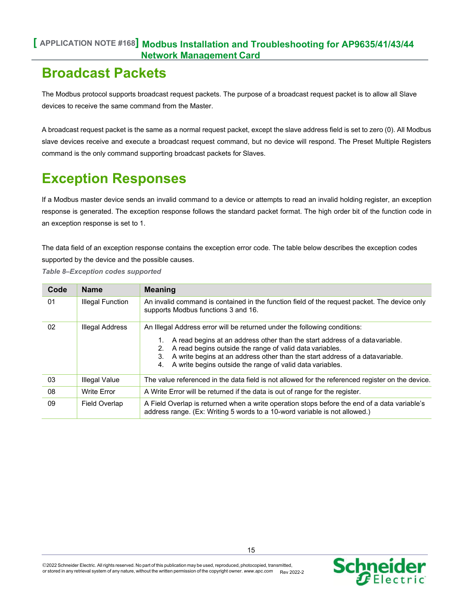## **Broadcast Packets**

The Modbus protocol supports broadcast request packets. The purpose of a broadcast request packet is to allow all Slave devices to receive the same command from the Master.

A broadcast request packet is the same as a normal request packet, except the slave address field is set to zero (0). All Modbus slave devices receive and execute a broadcast request command, but no device will respond. The Preset Multiple Registers command is the only command supporting broadcast packets for Slaves.

## **Exception Responses**

If a Modbus master device sends an invalid command to a device or attempts to read an invalid holding register, an exception response is generated. The exception response follows the standard packet format. The high order bit of the function code in an exception response is set to 1.

The data field of an exception response contains the exception error code. The table below describes the exception codes supported by the device and the possible causes.

*Table 8–Exception codes supported*

| Code | <b>Name</b>             | <b>Meaning</b>                                                                                                                                                                                                                                                                                          |  |
|------|-------------------------|---------------------------------------------------------------------------------------------------------------------------------------------------------------------------------------------------------------------------------------------------------------------------------------------------------|--|
| 01   | <b>Illegal Function</b> | An invalid command is contained in the function field of the request packet. The device only<br>supports Modbus functions 3 and 16.                                                                                                                                                                     |  |
| 02   | <b>Illegal Address</b>  | An Illegal Address error will be returned under the following conditions:                                                                                                                                                                                                                               |  |
|      |                         | A read begins at an address other than the start address of a data variable.<br>A read begins outside the range of valid data variables.<br>2.<br>A write begins at an address other than the start address of a datavariable.<br>3.<br>A write begins outside the range of valid data variables.<br>4. |  |
| 03   | Illegal Value           | The value referenced in the data field is not allowed for the referenced register on the device.                                                                                                                                                                                                        |  |
| 08   | <b>Write Error</b>      | A Write Error will be returned if the data is out of range for the register.                                                                                                                                                                                                                            |  |
| 09   | Field Overlap           | A Field Overlap is returned when a write operation stops before the end of a data variable's<br>address range. (Ex: Writing 5 words to a 10-word variable is not allowed.)                                                                                                                              |  |

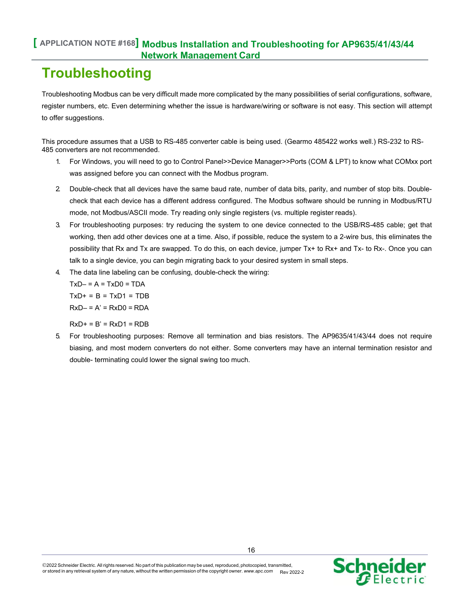## **Troubleshooting**

Troubleshooting Modbus can be very difficult made more complicated by the many possibilities of serial configurations, software, register numbers, etc. Even determining whether the issue is hardware/wiring or software is not easy. This section will attempt to offer suggestions.

This procedure assumes that a USB to RS-485 converter cable is being used. (Gearmo 485422 works well.) RS-232 to RS-485 converters are not recommended.

- 1. For Windows, you will need to go to Control Panel>>Device Manager>>Ports (COM & LPT) to know what COMxx port was assigned before you can connect with the Modbus program.
- 2. Double-check that all devices have the same baud rate, number of data bits, parity, and number of stop bits. Doublecheck that each device has a different address configured. The Modbus software should be running in Modbus/RTU mode, not Modbus/ASCII mode. Try reading only single registers (vs. multiple register reads).
- 3. For troubleshooting purposes: try reducing the system to one device connected to the USB/RS-485 cable; get that working, then add other devices one at a time. Also, if possible, reduce the system to a 2-wire bus, this eliminates the possibility that Rx and Tx are swapped. To do this, on each device, jumper Tx+ to Rx+ and Tx- to Rx-. Once you can talk to a single device, you can begin migrating back to your desired system in small steps.
- 4. The data line labeling can be confusing, double-check the wiring:

 $TxD - 1 = A = TxD0 = TDA$  $TxD+ = B = TxD1 = TDB$  $RxD - = A' = RxD0 = RDA$ 

 $RxD+ = B' = RxD1 = RDB$ 

5. For troubleshooting purposes: Remove all termination and bias resistors. The AP9635/41/43/44 does not require biasing, and most modern converters do not either. Some converters may have an internal termination resistor and double- terminating could lower the signal swing too much.



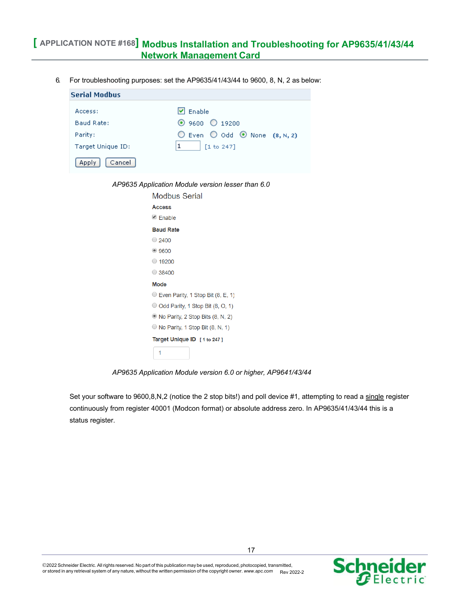6. For troubleshooting purposes: set the AP9635/41/43/44 to 9600, 8, N, 2 as below:

| <b>Serial Modbus</b>             |                                                                                                      |  |  |  |
|----------------------------------|------------------------------------------------------------------------------------------------------|--|--|--|
| Access:<br>Baud Rate:<br>Parity: | $\triangledown$ Enable<br>⊙ 9600 ◯ 19200<br>$\bigcirc$ Even $\bigcirc$ Odd $\bigcirc$ None (8, N, 2) |  |  |  |
| Target Unique ID:                | [1 to 247]                                                                                           |  |  |  |
| Cancel<br>Apply                  |                                                                                                      |  |  |  |
|                                  |                                                                                                      |  |  |  |

*AP9635 Application Module version lesser than 6.0*

| Modbus Serial                              |  |  |
|--------------------------------------------|--|--|
| Access                                     |  |  |
| $\triangleleft$ Fnable                     |  |  |
| <b>Baud Rate</b>                           |  |  |
| $\bigcirc$ 2400                            |  |  |
| •9600                                      |  |  |
| $\circ$ 19200                              |  |  |
| $\bigcirc$ 38400                           |  |  |
| Mode                                       |  |  |
| Even Parity, 1 Stop Bit (8, E, 1)          |  |  |
| $\odot$ Odd Parity, 1 Stop Bit (8, O, 1)   |  |  |
| $\bullet$ No Parity, 2 Stop Bits (8, N, 2) |  |  |
| $\circ$ No Parity, 1 Stop Bit (8, N, 1)    |  |  |
| Target Unique ID [1 to 247]                |  |  |
| 1                                          |  |  |

*AP9635 Application Module version 6.0 or higher, AP9641/43/44*

Set your software to 9600,8,N,2 (notice the 2 stop bits!) and poll device #1, attempting to read a single register continuously from register 40001 (Modcon format) or absolute address zero. In AP9635/41/43/44 this is a status register.

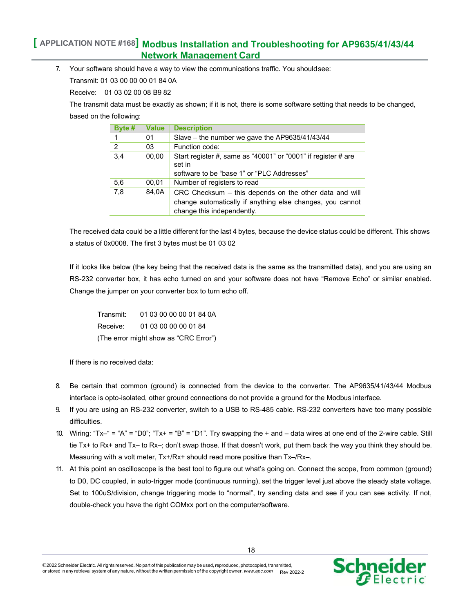7. Your software should have a way to view the communications traffic. You shouldsee:

Transmit: 01 03 00 00 00 01 84 0A

Receive: 01 03 02 00 08 B9 82

The transmit data must be exactly as shown; if it is not, there is some software setting that needs to be changed, based on the following:

| Byte #         | <b>Value</b> | <b>Description</b>                                                                                                                                |
|----------------|--------------|---------------------------------------------------------------------------------------------------------------------------------------------------|
| 1              | 01           | Slave – the number we gave the AP9635/41/43/44                                                                                                    |
| $\overline{2}$ | 03           | Function code:                                                                                                                                    |
| 3,4            | 00,00        | Start register #, same as "40001" or "0001" if register # are<br>set in                                                                           |
|                |              | software to be "base 1" or "PLC Addresses"                                                                                                        |
| 5,6            | 00,01        | Number of registers to read                                                                                                                       |
| 7,8            | 84,0A        | CRC Checksum – this depends on the other data and will<br>change automatically if anything else changes, you cannot<br>change this independently. |

The received data could be a little different for the last 4 bytes, because the device status could be different. This shows a status of 0x0008. The first 3 bytes must be 01 03 02

If it looks like below (the key being that the received data is the same as the transmitted data), and you are using an RS-232 converter box, it has echo turned on and your software does not have "Remove Echo" or similar enabled. Change the jumper on your converter box to turn echo off.

| Transmit:                             | 01 03 00 00 00 01 84 0A |  |  |  |  |
|---------------------------------------|-------------------------|--|--|--|--|
| Receive:                              | 01 03 00 00 00 01 84    |  |  |  |  |
| (The error might show as "CRC Error") |                         |  |  |  |  |

If there is no received data:

- 8. Be certain that common (ground) is connected from the device to the converter. The AP9635/41/43/44 Modbus interface is opto-isolated, other ground connections do not provide a ground for the Modbus interface.
- 9. If you are using an RS-232 converter, switch to a USB to RS-485 cable. RS-232 converters have too many possible difficulties.
- 10. Wiring: "Tx–" = "A" = "D0"; "Tx+ = "B" = "D1". Try swapping the + and data wires at one end of the 2-wire cable. Still tie Tx+ to Rx+ and Tx– to Rx–; don't swap those. If that doesn't work, put them back the way you think they should be. Measuring with a volt meter, Tx+/Rx+ should read more positive than Tx–/Rx–.
- 11. At this point an oscilloscope is the best tool to figure out what's going on. Connect the scope, from common (ground) to D0, DC coupled, in auto-trigger mode (continuous running), set the trigger level just above the steady state voltage. Set to 100uS/division, change triggering mode to "normal", try sending data and see if you can see activity. If not, double-check you have the right COMxx port on the computer/software.



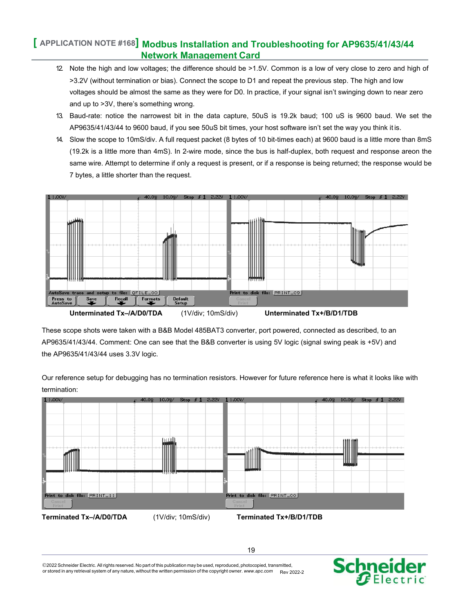- 12. Note the high and low voltages; the difference should be >1.5V. Common is a low of very close to zero and high of >3.2V (without termination or bias). Connect the scope to D1 and repeat the previous step. The high and low voltages should be almost the same as they were for D0. In practice, if your signal isn't swinging down to near zero and up to >3V, there's something wrong.
- 13. Baud-rate: notice the narrowest bit in the data capture, 50uS is 19.2k baud; 100 uS is 9600 baud. We set the AP9635/41/43/44 to 9600 baud, if you see 50uS bit times, your host software isn't set the way you think it is.
- 14. Slow the scope to 10mS/div. A full request packet (8 bytes of 10 bit-times each) at 9600 baud is a little more than 8mS (19.2k is a little more than 4mS). In 2-wire mode, since the bus is half-duplex, both request and response areon the same wire. Attempt to determine if only a request is present, or if a response is being returned; the response would be 7 bytes, a little shorter than the request.



These scope shots were taken with a B&B Model 485BAT3 converter, port powered, connected as described, to an AP9635/41/43/44. Comment: One can see that the B&B converter is using 5V logic (signal swing peak is +5V) and the AP9635/41/43/44 uses 3.3V logic.

Our reference setup for debugging has no termination resistors. However for future reference here is what it looks like with termination:



2022 Schneider Electric. All rights reserved. No part of this publication may be used, reproduced, photocopied, transmitted, or stored in any retrieval system of any nature, without the written permission of the copyright owner. [www.apc.com](http://www.apc.com/) Rev 2022-2



19